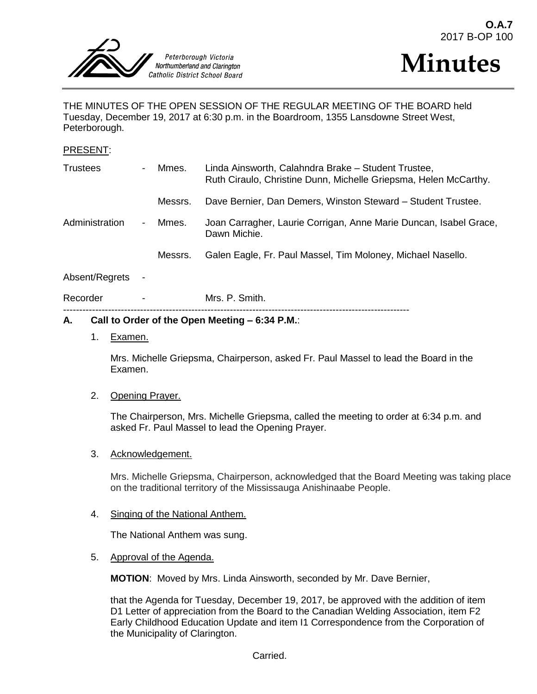



THE MINUTES OF THE OPEN SESSION OF THE REGULAR MEETING OF THE BOARD held Tuesday, December 19, 2017 at 6:30 p.m. in the Boardroom, 1355 Lansdowne Street West, Peterborough.

#### PRESENT:

| <b>Trustees</b> | $\overline{\phantom{0}}$ | Mmes.   | Linda Ainsworth, Calahndra Brake - Student Trustee,<br>Ruth Ciraulo, Christine Dunn, Michelle Griepsma, Helen McCarthy. |
|-----------------|--------------------------|---------|-------------------------------------------------------------------------------------------------------------------------|
|                 |                          | Messrs. | Dave Bernier, Dan Demers, Winston Steward - Student Trustee.                                                            |
| Administration  | $\overline{\phantom{a}}$ | Mmes.   | Joan Carragher, Laurie Corrigan, Anne Marie Duncan, Isabel Grace,<br>Dawn Michie.                                       |
|                 |                          | Messrs. | Galen Eagle, Fr. Paul Massel, Tim Moloney, Michael Nasello.                                                             |
| Absent/Regrets  |                          |         |                                                                                                                         |

Recorder - Mrs. P. Smith. ------------------------------------------------------------------------------------------------------------

#### **A. Call to Order of the Open Meeting – 6:34 P.M.**:

1. Examen.

Mrs. Michelle Griepsma, Chairperson, asked Fr. Paul Massel to lead the Board in the Examen.

#### 2. Opening Prayer.

The Chairperson, Mrs. Michelle Griepsma, called the meeting to order at 6:34 p.m. and asked Fr. Paul Massel to lead the Opening Prayer.

3. Acknowledgement.

Mrs. Michelle Griepsma, Chairperson, acknowledged that the Board Meeting was taking place on the traditional territory of the Mississauga Anishinaabe People.

#### 4. Singing of the National Anthem.

The National Anthem was sung.

5. Approval of the Agenda.

**MOTION**: Moved by Mrs. Linda Ainsworth, seconded by Mr. Dave Bernier,

that the Agenda for Tuesday, December 19, 2017, be approved with the addition of item D1 Letter of appreciation from the Board to the Canadian Welding Association, item F2 Early Childhood Education Update and item I1 Correspondence from the Corporation of the Municipality of Clarington.

Carried.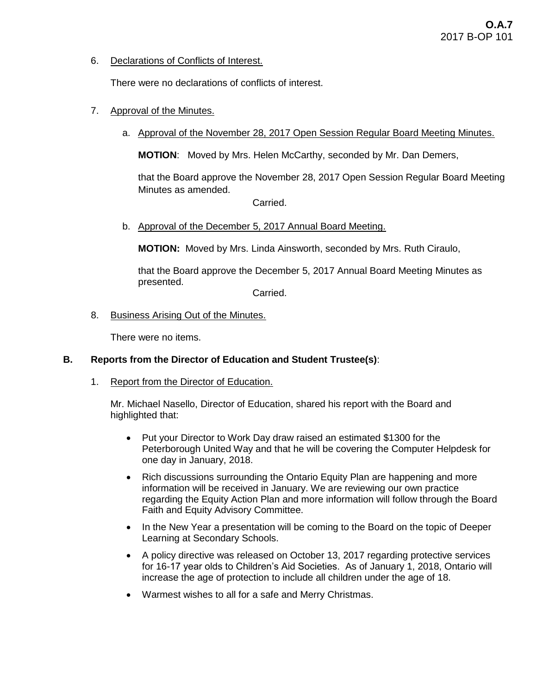6. Declarations of Conflicts of Interest.

There were no declarations of conflicts of interest.

- 7. Approval of the Minutes.
	- a. Approval of the November 28, 2017 Open Session Regular Board Meeting Minutes.

**MOTION**: Moved by Mrs. Helen McCarthy, seconded by Mr. Dan Demers,

that the Board approve the November 28, 2017 Open Session Regular Board Meeting Minutes as amended.

Carried.

b. Approval of the December 5, 2017 Annual Board Meeting.

**MOTION:** Moved by Mrs. Linda Ainsworth, seconded by Mrs. Ruth Ciraulo,

that the Board approve the December 5, 2017 Annual Board Meeting Minutes as presented.

Carried.

8. Business Arising Out of the Minutes.

There were no items.

### **B. Reports from the Director of Education and Student Trustee(s)**:

1. Report from the Director of Education.

Mr. Michael Nasello, Director of Education, shared his report with the Board and highlighted that:

- Put your Director to Work Day draw raised an estimated \$1300 for the Peterborough United Way and that he will be covering the Computer Helpdesk for one day in January, 2018.
- Rich discussions surrounding the Ontario Equity Plan are happening and more information will be received in January. We are reviewing our own practice regarding the Equity Action Plan and more information will follow through the Board Faith and Equity Advisory Committee.
- In the New Year a presentation will be coming to the Board on the topic of Deeper Learning at Secondary Schools.
- A policy directive was released on October 13, 2017 regarding protective services for 16-17 year olds to Children's Aid Societies. As of January 1, 2018, Ontario will increase the age of protection to include all children under the age of 18.
- Warmest wishes to all for a safe and Merry Christmas.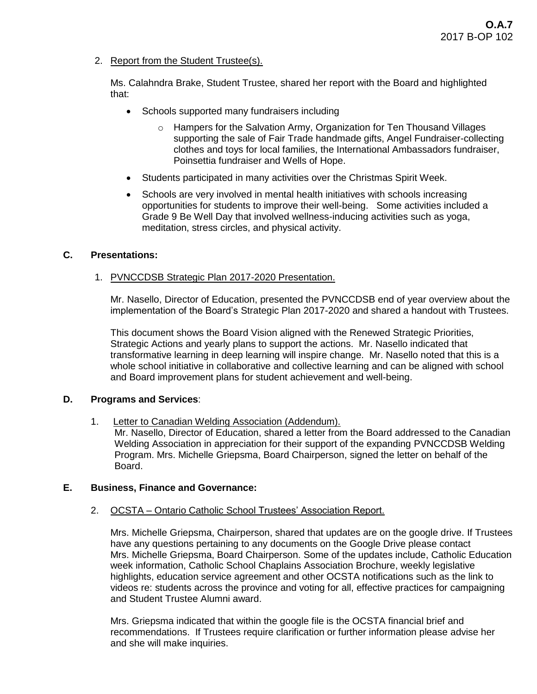2. Report from the Student Trustee(s).

Ms. Calahndra Brake, Student Trustee, shared her report with the Board and highlighted that:

- Schools supported many fundraisers including
	- $\circ$  Hampers for the Salvation Army, Organization for Ten Thousand Villages supporting the sale of Fair Trade handmade gifts, Angel Fundraiser-collecting clothes and toys for local families, the International Ambassadors fundraiser, Poinsettia fundraiser and Wells of Hope.
- Students participated in many activities over the Christmas Spirit Week.
- Schools are very involved in mental health initiatives with schools increasing opportunities for students to improve their well-being. Some activities included a Grade 9 Be Well Day that involved wellness-inducing activities such as yoga, meditation, stress circles, and physical activity.

### **C. Presentations:**

1. PVNCCDSB Strategic Plan 2017-2020 Presentation.

Mr. Nasello, Director of Education, presented the PVNCCDSB end of year overview about the implementation of the Board's Strategic Plan 2017-2020 and shared a handout with Trustees.

This document shows the Board Vision aligned with the Renewed Strategic Priorities, Strategic Actions and yearly plans to support the actions. Mr. Nasello indicated that transformative learning in deep learning will inspire change. Mr. Nasello noted that this is a whole school initiative in collaborative and collective learning and can be aligned with school and Board improvement plans for student achievement and well-being.

### **D. Programs and Services**:

1. Letter to Canadian Welding Association (Addendum).

Mr. Nasello, Director of Education, shared a letter from the Board addressed to the Canadian Welding Association in appreciation for their support of the expanding PVNCCDSB Welding Program. Mrs. Michelle Griepsma, Board Chairperson, signed the letter on behalf of the Board.

## **E. Business, Finance and Governance:**

### 2. OCSTA – Ontario Catholic School Trustees' Association Report.

Mrs. Michelle Griepsma, Chairperson, shared that updates are on the google drive. If Trustees have any questions pertaining to any documents on the Google Drive please contact Mrs. Michelle Griepsma, Board Chairperson. Some of the updates include, Catholic Education week information, Catholic School Chaplains Association Brochure, weekly legislative highlights, education service agreement and other OCSTA notifications such as the link to videos re: students across the province and voting for all, effective practices for campaigning and Student Trustee Alumni award.

Mrs. Griepsma indicated that within the google file is the OCSTA financial brief and recommendations. If Trustees require clarification or further information please advise her and she will make inquiries.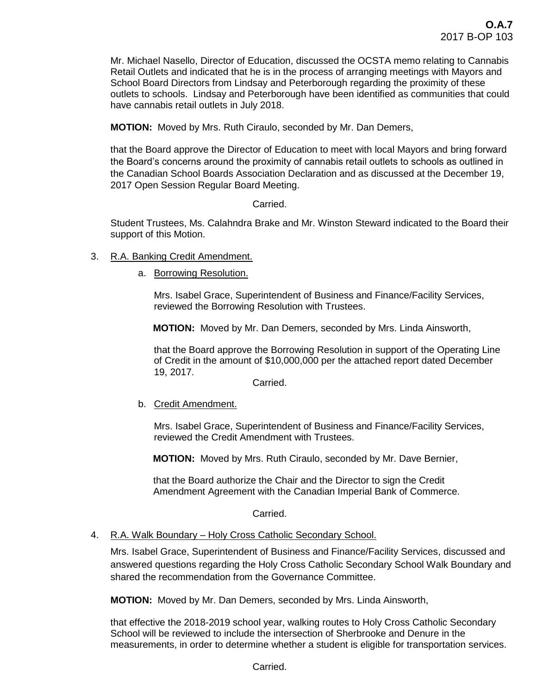Mr. Michael Nasello, Director of Education, discussed the OCSTA memo relating to Cannabis Retail Outlets and indicated that he is in the process of arranging meetings with Mayors and School Board Directors from Lindsay and Peterborough regarding the proximity of these outlets to schools. Lindsay and Peterborough have been identified as communities that could have cannabis retail outlets in July 2018.

**MOTION:** Moved by Mrs. Ruth Ciraulo, seconded by Mr. Dan Demers,

that the Board approve the Director of Education to meet with local Mayors and bring forward the Board's concerns around the proximity of cannabis retail outlets to schools as outlined in the Canadian School Boards Association Declaration and as discussed at the December 19, 2017 Open Session Regular Board Meeting.

Carried.

Student Trustees, Ms. Calahndra Brake and Mr. Winston Steward indicated to the Board their support of this Motion.

- 3. R.A. Banking Credit Amendment.
	- a. Borrowing Resolution.

Mrs. Isabel Grace, Superintendent of Business and Finance/Facility Services, reviewed the Borrowing Resolution with Trustees.

 **MOTION:** Moved by Mr. Dan Demers, seconded by Mrs. Linda Ainsworth,

that the Board approve the Borrowing Resolution in support of the Operating Line of Credit in the amount of \$10,000,000 per the attached report dated December 19, 2017.

Carried.

b. Credit Amendment.

Mrs. Isabel Grace, Superintendent of Business and Finance/Facility Services, reviewed the Credit Amendment with Trustees.

 **MOTION:** Moved by Mrs. Ruth Ciraulo, seconded by Mr. Dave Bernier,

 that the Board authorize the Chair and the Director to sign the Credit Amendment Agreement with the Canadian Imperial Bank of Commerce.

Carried.

#### 4. R.A. Walk Boundary - Holy Cross Catholic Secondary School.

Mrs. Isabel Grace, Superintendent of Business and Finance/Facility Services, discussed and answered questions regarding the Holy Cross Catholic Secondary School Walk Boundary and shared the recommendation from the Governance Committee.

**MOTION:** Moved by Mr. Dan Demers, seconded by Mrs. Linda Ainsworth,

that effective the 2018-2019 school year, walking routes to Holy Cross Catholic Secondary School will be reviewed to include the intersection of Sherbrooke and Denure in the measurements, in order to determine whether a student is eligible for transportation services.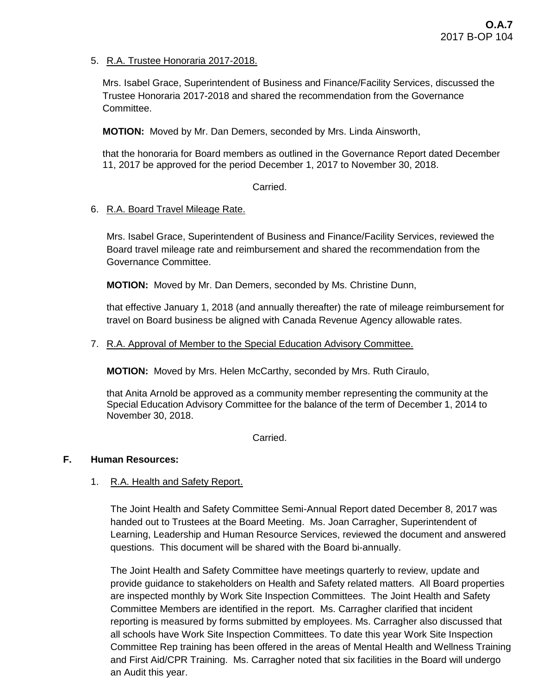5. R.A. Trustee Honoraria 2017-2018.

Mrs. Isabel Grace, Superintendent of Business and Finance/Facility Services, discussed the Trustee Honoraria 2017-2018 and shared the recommendation from the Governance Committee.

**MOTION:** Moved by Mr. Dan Demers, seconded by Mrs. Linda Ainsworth,

that the honoraria for Board members as outlined in the Governance Report dated December 11, 2017 be approved for the period December 1, 2017 to November 30, 2018.

## Carried.

## 6. R.A. Board Travel Mileage Rate.

Mrs. Isabel Grace, Superintendent of Business and Finance/Facility Services, reviewed the Board travel mileage rate and reimbursement and shared the recommendation from the Governance Committee.

**MOTION:** Moved by Mr. Dan Demers, seconded by Ms. Christine Dunn,

that effective January 1, 2018 (and annually thereafter) the rate of mileage reimbursement for travel on Board business be aligned with Canada Revenue Agency allowable rates.

7. R.A. Approval of Member to the Special Education Advisory Committee.

**MOTION:** Moved by Mrs. Helen McCarthy, seconded by Mrs. Ruth Ciraulo,

that Anita Arnold be approved as a community member representing the community at the Special Education Advisory Committee for the balance of the term of December 1, 2014 to November 30, 2018.

Carried.

## **F. Human Resources:**

# 1. R.A. Health and Safety Report.

The Joint Health and Safety Committee Semi-Annual Report dated December 8, 2017 was handed out to Trustees at the Board Meeting. Ms. Joan Carragher, Superintendent of Learning, Leadership and Human Resource Services, reviewed the document and answered questions. This document will be shared with the Board bi-annually.

The Joint Health and Safety Committee have meetings quarterly to review, update and provide guidance to stakeholders on Health and Safety related matters. All Board properties are inspected monthly by Work Site Inspection Committees. The Joint Health and Safety Committee Members are identified in the report. Ms. Carragher clarified that incident reporting is measured by forms submitted by employees. Ms. Carragher also discussed that all schools have Work Site Inspection Committees. To date this year Work Site Inspection Committee Rep training has been offered in the areas of Mental Health and Wellness Training and First Aid/CPR Training. Ms. Carragher noted that six facilities in the Board will undergo an Audit this year.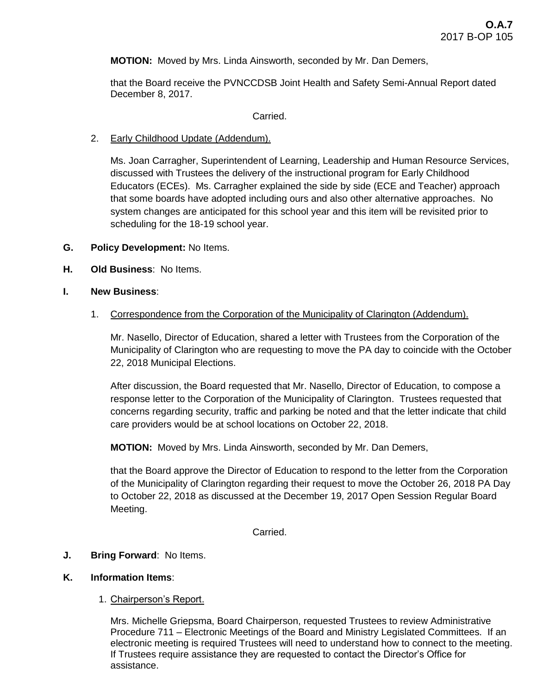**MOTION:** Moved by Mrs. Linda Ainsworth, seconded by Mr. Dan Demers,

that the Board receive the PVNCCDSB Joint Health and Safety Semi-Annual Report dated December 8, 2017.

#### Carried.

#### 2. Early Childhood Update (Addendum).

Ms. Joan Carragher, Superintendent of Learning, Leadership and Human Resource Services, discussed with Trustees the delivery of the instructional program for Early Childhood Educators (ECEs). Ms. Carragher explained the side by side (ECE and Teacher) approach that some boards have adopted including ours and also other alternative approaches. No system changes are anticipated for this school year and this item will be revisited prior to scheduling for the 18-19 school year.

- **G. Policy Development:** No Items.
- **H. Old Business**: No Items.

#### **I. New Business**:

1. Correspondence from the Corporation of the Municipality of Clarington (Addendum).

Mr. Nasello, Director of Education, shared a letter with Trustees from the Corporation of the Municipality of Clarington who are requesting to move the PA day to coincide with the October 22, 2018 Municipal Elections.

After discussion, the Board requested that Mr. Nasello, Director of Education, to compose a response letter to the Corporation of the Municipality of Clarington. Trustees requested that concerns regarding security, traffic and parking be noted and that the letter indicate that child care providers would be at school locations on October 22, 2018.

**MOTION:** Moved by Mrs. Linda Ainsworth, seconded by Mr. Dan Demers,

that the Board approve the Director of Education to respond to the letter from the Corporation of the Municipality of Clarington regarding their request to move the October 26, 2018 PA Day to October 22, 2018 as discussed at the December 19, 2017 Open Session Regular Board Meeting.

Carried.

### **J. Bring Forward**: No Items.

#### **K. Information Items**:

### 1. Chairperson's Report.

Mrs. Michelle Griepsma, Board Chairperson, requested Trustees to review Administrative Procedure 711 – Electronic Meetings of the Board and Ministry Legislated Committees. If an electronic meeting is required Trustees will need to understand how to connect to the meeting. If Trustees require assistance they are requested to contact the Director's Office for assistance.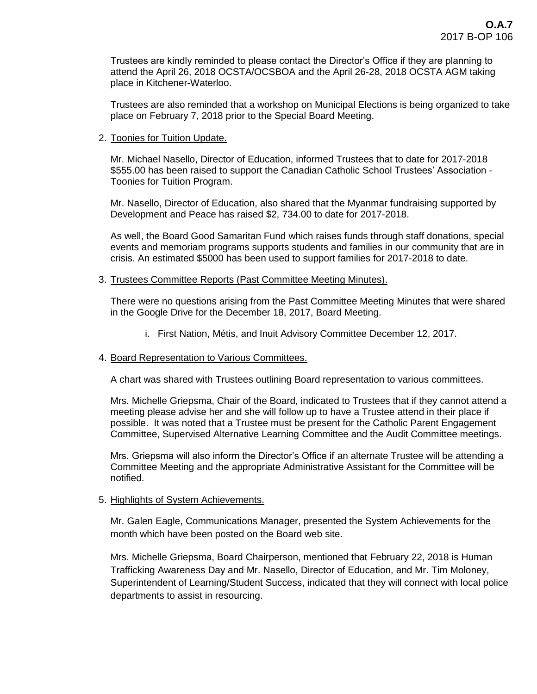Trustees are kindly reminded to please contact the Director's Office if they are planning to attend the April 26, 2018 OCSTA/OCSBOA and the April 26-28, 2018 OCSTA AGM taking place in Kitchener-Waterloo.

Trustees are also reminded that a workshop on Municipal Elections is being organized to take place on February 7, 2018 prior to the Special Board Meeting.

2. Toonies for Tuition Update.

Mr. Michael Nasello, Director of Education, informed Trustees that to date for 2017-2018 \$555.00 has been raised to support the Canadian Catholic School Trustees' Association - Toonies for Tuition Program.

Mr. Nasello, Director of Education, also shared that the Myanmar fundraising supported by Development and Peace has raised \$2, 734.00 to date for 2017-2018.

As well, the Board Good Samaritan Fund which raises funds through staff donations, special events and memoriam programs supports students and families in our community that are in crisis. An estimated \$5000 has been used to support families for 2017-2018 to date.

#### 3. Trustees Committee Reports (Past Committee Meeting Minutes).

There were no questions arising from the Past Committee Meeting Minutes that were shared in the Google Drive for the December 18, 2017, Board Meeting.

i. First Nation, Métis, and Inuit Advisory Committee December 12, 2017.

#### 4. Board Representation to Various Committees.

A chart was shared with Trustees outlining Board representation to various committees.

Mrs. Michelle Griepsma, Chair of the Board, indicated to Trustees that if they cannot attend a meeting please advise her and she will follow up to have a Trustee attend in their place if possible. It was noted that a Trustee must be present for the Catholic Parent Engagement Committee, Supervised Alternative Learning Committee and the Audit Committee meetings.

Mrs. Griepsma will also inform the Director's Office if an alternate Trustee will be attending a Committee Meeting and the appropriate Administrative Assistant for the Committee will be notified.

### 5. Highlights of System Achievements.

Mr. Galen Eagle, Communications Manager, presented the System Achievements for the month which have been posted on the Board web site.

Mrs. Michelle Griepsma, Board Chairperson, mentioned that February 22, 2018 is Human Trafficking Awareness Day and Mr. Nasello, Director of Education, and Mr. Tim Moloney, Superintendent of Learning/Student Success, indicated that they will connect with local police departments to assist in resourcing.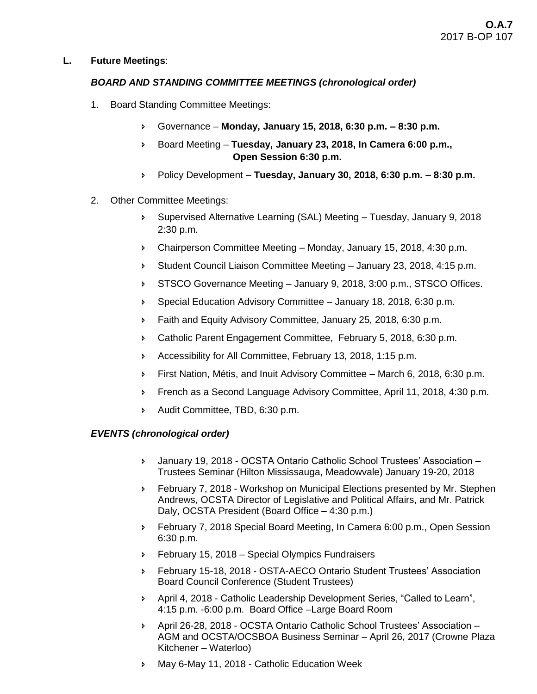## **L. Future Meetings**:

## *BOARD AND STANDING COMMITTEE MEETINGS (chronological order)*

- 1. Board Standing Committee Meetings:
	- Governance **Monday, January 15, 2018, 6:30 p.m. – 8:30 p.m.**
	- Board Meeting **Tuesday, January 23, 2018, In Camera 6:00 p.m., Open Session 6:30 p.m.**
	- Policy Development **Tuesday, January 30, 2018, 6:30 p.m. – 8:30 p.m.**
- 2. Other Committee Meetings:
	- Supervised Alternative Learning (SAL) Meeting Tuesday, January 9, 2018 2:30 p.m.
	- Chairperson Committee Meeting Monday, January 15, 2018, 4:30 p.m.
	- Student Council Liaison Committee Meeting January 23, 2018, 4:15 p.m.
	- STSCO Governance Meeting January 9, 2018, 3:00 p.m., STSCO Offices.
	- **Special Education Advisory Committee January 18, 2018, 6:30 p.m.**
	- Faith and Equity Advisory Committee, January 25, 2018, 6:30 p.m.
	- Catholic Parent Engagement Committee, February 5, 2018, 6:30 p.m.
	- Accessibility for All Committee, February 13, 2018, 1:15 p.m.
	- First Nation, Métis, and Inuit Advisory Committee March 6, 2018, 6:30 p.m.
	- French as a Second Language Advisory Committee, April 11, 2018, 4:30 p.m.
	- Audit Committee, TBD, 6:30 p.m.

### *EVENTS (chronological order)*

- January 19, 2018 OCSTA Ontario Catholic School Trustees' Association Trustees Seminar (Hilton Mississauga, Meadowvale) January 19-20, 2018
- February 7, 2018 Workshop on Municipal Elections presented by Mr. Stephen Andrews, OCSTA Director of Legislative and Political Affairs, and Mr. Patrick Daly, OCSTA President (Board Office – 4:30 p.m.)
- February 7, 2018 Special Board Meeting, In Camera 6:00 p.m., Open Session 6:30 p.m.
- **February 15, 2018 Special Olympics Fundraisers**
- February 15-18, 2018 OSTA-AECO Ontario Student Trustees' Association Board Council Conference (Student Trustees)
- April 4, 2018 Catholic Leadership Development Series, "Called to Learn", 4:15 p.m. -6:00 p.m. Board Office –Large Board Room
- April 26-28, 2018 OCSTA Ontario Catholic School Trustees' Association AGM and OCSTA/OCSBOA Business Seminar – April 26, 2017 (Crowne Plaza Kitchener – Waterloo)
- May 6-May 11, 2018 Catholic Education Week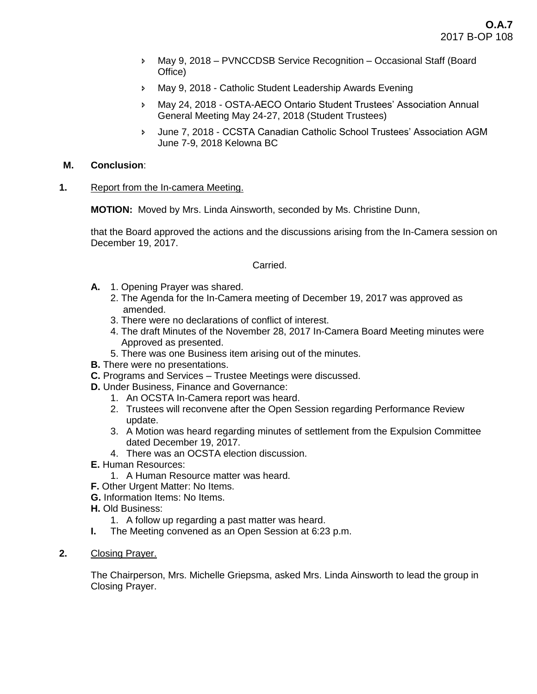- May 9, 2018 PVNCCDSB Service Recognition Occasional Staff (Board Office)
- May 9, 2018 Catholic Student Leadership Awards Evening
- May 24, 2018 OSTA-AECO Ontario Student Trustees' Association Annual General Meeting May 24-27, 2018 (Student Trustees)
- June 7, 2018 CCSTA Canadian Catholic School Trustees' Association AGM June 7-9, 2018 Kelowna BC

#### **M. Conclusion**:

**1.** Report from the In-camera Meeting.

**MOTION:** Moved by Mrs. Linda Ainsworth, seconded by Ms. Christine Dunn,

that the Board approved the actions and the discussions arising from the In-Camera session on December 19, 2017.

#### Carried.

- **A.** 1. Opening Prayer was shared.
	- 2. The Agenda for the In-Camera meeting of December 19, 2017 was approved as amended.
	- 3. There were no declarations of conflict of interest.
	- 4. The draft Minutes of the November 28, 2017 In-Camera Board Meeting minutes were Approved as presented.
	- 5. There was one Business item arising out of the minutes.
- **B.** There were no presentations.
- **C.** Programs and Services Trustee Meetings were discussed.
- **D.** Under Business, Finance and Governance:
	- 1. An OCSTA In-Camera report was heard.
	- 2. Trustees will reconvene after the Open Session regarding Performance Review update.
	- 3. A Motion was heard regarding minutes of settlement from the Expulsion Committee dated December 19, 2017.
	- 4. There was an OCSTA election discussion.
- **E.** Human Resources:
	- 1. A Human Resource matter was heard.
- **F.** Other Urgent Matter: No Items.
- **G.** Information Items: No Items.
- **H.** Old Business:
	- 1. A follow up regarding a past matter was heard.
- **I.** The Meeting convened as an Open Session at 6:23 p.m.
- **2.** Closing Prayer.

The Chairperson, Mrs. Michelle Griepsma, asked Mrs. Linda Ainsworth to lead the group in Closing Prayer.